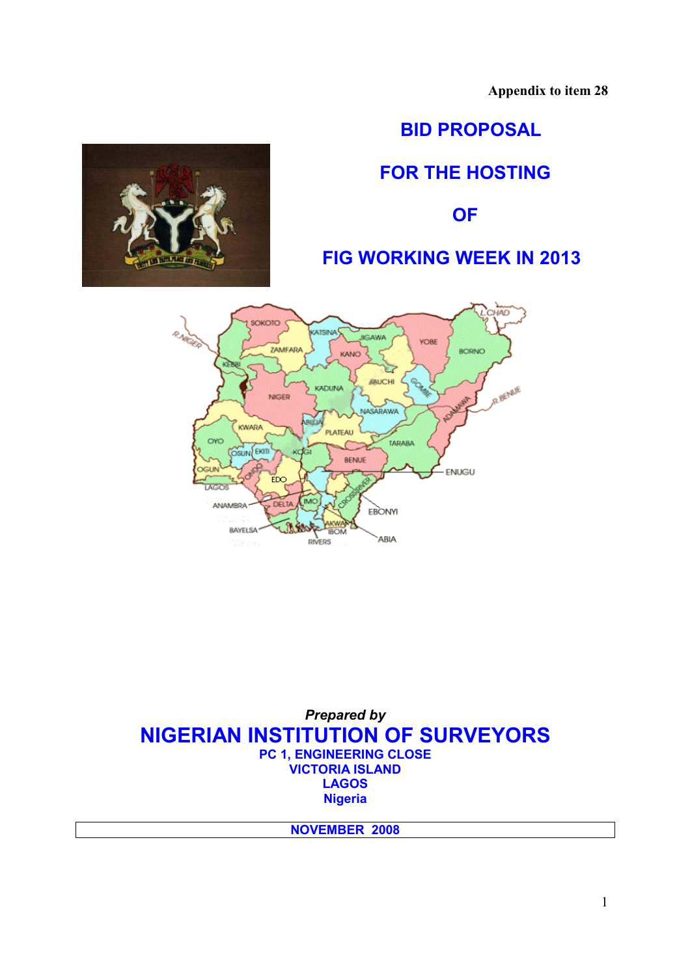**Appendix to item 28** 

# **BID PROPOSAL**

# **FOR THE HOSTING**

**OF** 

# **FIG WORKING WEEK IN 2013**



*Prepared by*  **NIGERIAN INSTITUTION OF SURVEYORS PC 1, ENGINEERING CLOSE VICTORIA ISLAND LAGOS Nigeria** 

**NOVEMBER 2008**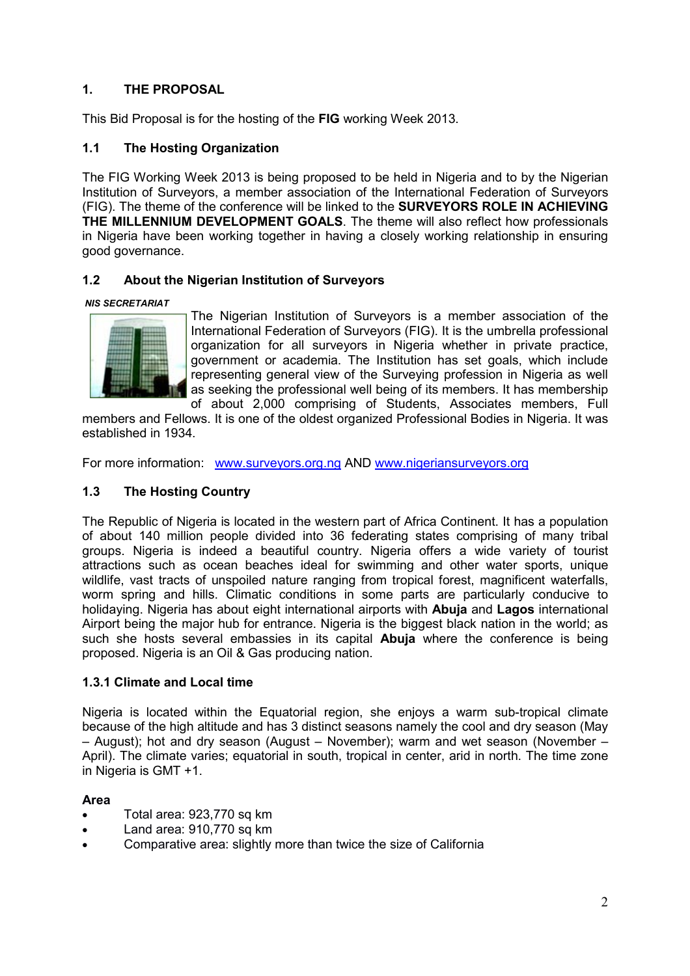# **1. THE PROPOSAL**

This Bid Proposal is for the hosting of the **FIG** working Week 2013.

# **1.1 The Hosting Organization**

The FIG Working Week 2013 is being proposed to be held in Nigeria and to by the Nigerian Institution of Surveyors, a member association of the International Federation of Surveyors (FIG). The theme of the conference will be linked to the **SURVEYORS ROLE IN ACHIEVING THE MILLENNIUM DEVELOPMENT GOALS**. The theme will also reflect how professionals in Nigeria have been working together in having a closely working relationship in ensuring good governance.

#### **1.2 About the Nigerian Institution of Surveyors**

#### *NIS SECRETARIAT*



The Nigerian Institution of Surveyors is a member association of the International Federation of Surveyors (FIG). It is the umbrella professional organization for all surveyors in Nigeria whether in private practice, government or academia. The Institution has set goals, which include representing general view of the Surveying profession in Nigeria as well as seeking the professional well being of its members. It has membership of about 2,000 comprising of Students, Associates members, Full

members and Fellows. It is one of the oldest organized Professional Bodies in Nigeria. It was established in 1934.

For more information: www.surveyors.org.ng AND www.nigeriansurveyors.org

# **1.3 The Hosting Country**

The Republic of Nigeria is located in the western part of Africa Continent. It has a population of about 140 million people divided into 36 federating states comprising of many tribal groups. Nigeria is indeed a beautiful country. Nigeria offers a wide variety of tourist attractions such as ocean beaches ideal for swimming and other water sports, unique wildlife, vast tracts of unspoiled nature ranging from tropical forest, magnificent waterfalls, worm spring and hills. Climatic conditions in some parts are particularly conducive to holidaying. Nigeria has about eight international airports with **Abuja** and **Lagos** international Airport being the major hub for entrance. Nigeria is the biggest black nation in the world; as such she hosts several embassies in its capital **Abuja** where the conference is being proposed. Nigeria is an Oil & Gas producing nation.

#### **1.3.1 Climate and Local time**

Nigeria is located within the Equatorial region, she enjoys a warm sub-tropical climate because of the high altitude and has 3 distinct seasons namely the cool and dry season (May – August); hot and dry season (August – November); warm and wet season (November – April). The climate varies; equatorial in south, tropical in center, arid in north. The time zone in Nigeria is GMT +1.

#### **Area**

- Total area: 923,770 sq km
- Land area: 910,770 sq km
- Comparative area: slightly more than twice the size of California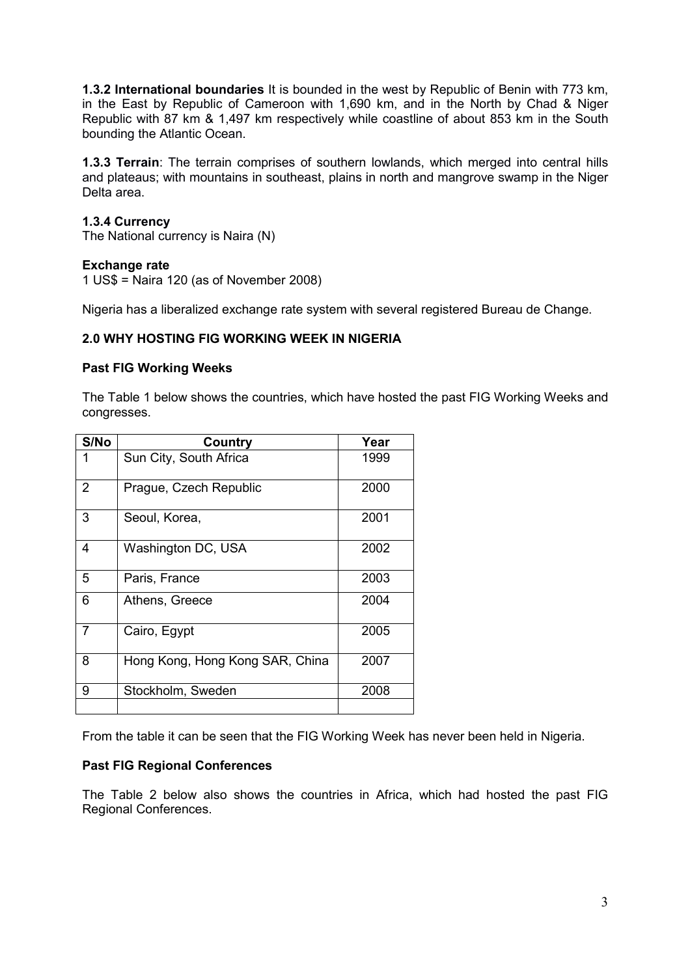**1.3.2 International boundaries** It is bounded in the west by Republic of Benin with 773 km, in the East by Republic of Cameroon with 1,690 km, and in the North by Chad & Niger Republic with 87 km & 1,497 km respectively while coastline of about 853 km in the South bounding the Atlantic Ocean.

**1.3.3 Terrain**: The terrain comprises of southern lowlands, which merged into central hills and plateaus; with mountains in southeast, plains in north and mangrove swamp in the Niger Delta area.

#### **1.3.4 Currency**

The National currency is Naira (N)

#### **Exchange rate**

1 US\$ = Naira 120 (as of November 2008)

Nigeria has a liberalized exchange rate system with several registered Bureau de Change.

#### **2.0 WHY HOSTING FIG WORKING WEEK IN NIGERIA**

#### **Past FIG Working Weeks**

The Table 1 below shows the countries, which have hosted the past FIG Working Weeks and congresses.

| S/No           | Country                         | Year |
|----------------|---------------------------------|------|
| 1              | Sun City, South Africa          | 1999 |
| $\overline{2}$ | Prague, Czech Republic          | 2000 |
| 3              | Seoul, Korea,                   | 2001 |
| 4              | Washington DC, USA              | 2002 |
| 5              | Paris, France                   | 2003 |
| 6              | Athens, Greece                  | 2004 |
| 7              | Cairo, Egypt                    | 2005 |
| 8              | Hong Kong, Hong Kong SAR, China | 2007 |
| 9              | Stockholm, Sweden               | 2008 |
|                |                                 |      |

From the table it can be seen that the FIG Working Week has never been held in Nigeria.

#### **Past FIG Regional Conferences**

The Table 2 below also shows the countries in Africa, which had hosted the past FIG Regional Conferences.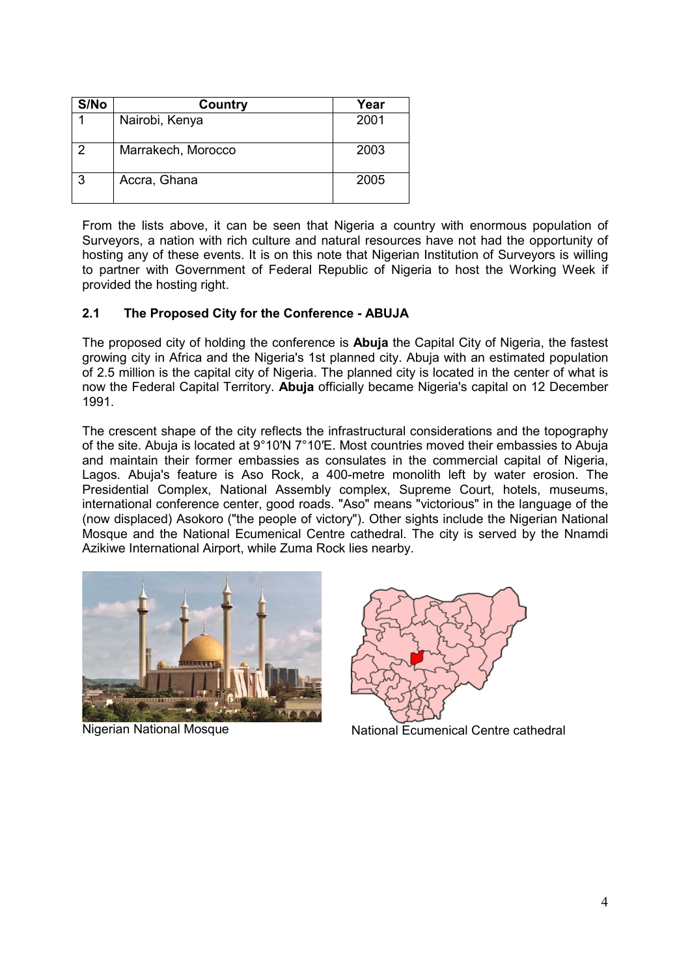| S/No | Country            | Year |
|------|--------------------|------|
|      | Nairobi, Kenya     | 2001 |
| 2    | Marrakech, Morocco | 2003 |
| 3    | Accra, Ghana       | 2005 |

From the lists above, it can be seen that Nigeria a country with enormous population of Surveyors, a nation with rich culture and natural resources have not had the opportunity of hosting any of these events. It is on this note that Nigerian Institution of Surveyors is willing to partner with Government of Federal Republic of Nigeria to host the Working Week if provided the hosting right.

# **2.1 The Proposed City for the Conference - ABUJA**

The proposed city of holding the conference is **Abuja** the Capital City of Nigeria, the fastest growing city in Africa and the Nigeria's 1st planned city. Abuja with an estimated population of 2.5 million is the capital city of Nigeria. The planned city is located in the center of what is now the Federal Capital Territory. **Abuja** officially became Nigeria's capital on 12 December 1991.

The crescent shape of the city reflects the infrastructural considerations and the topography of the site. Abuja is located at 9°10′N 7°10′E. Most countries moved their embassies to Abuja and maintain their former embassies as consulates in the commercial capital of Nigeria, Lagos. Abuja's feature is Aso Rock, a 400-metre monolith left by water erosion. The Presidential Complex, National Assembly complex, Supreme Court, hotels, museums, international conference center, good roads. "Aso" means "victorious" in the language of the (now displaced) Asokoro ("the people of victory"). Other sights include the Nigerian National Mosque and the National Ecumenical Centre cathedral. The city is served by the Nnamdi Azikiwe International Airport, while Zuma Rock lies nearby.



Nigerian National Mosque



National Ecumenical Centre cathedral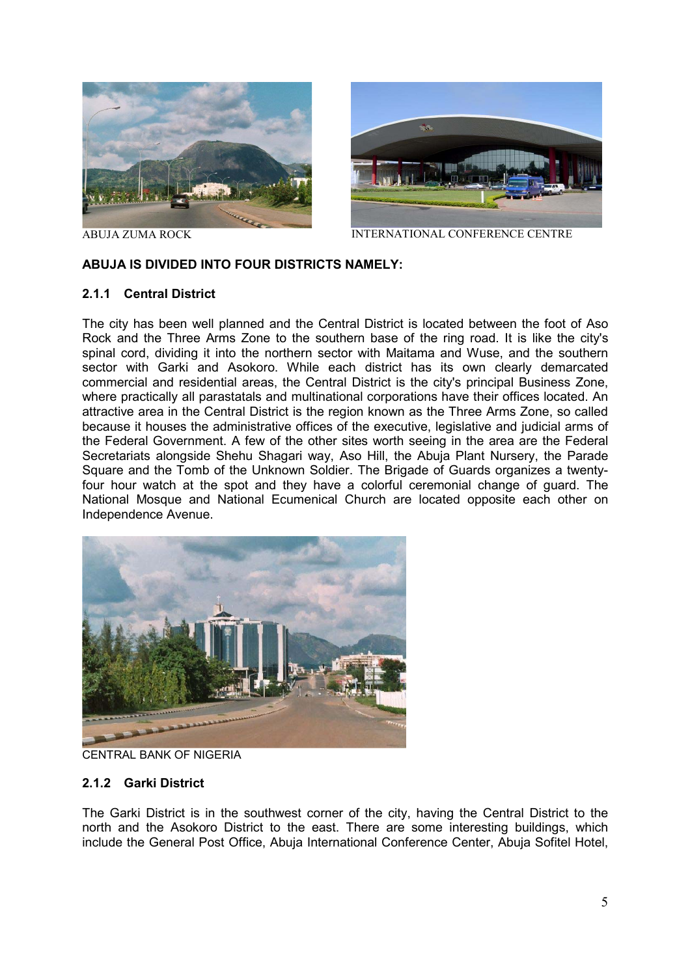



ABUJA ZUMA ROCKINTERNATIONAL CONFERENCE CENTRE

#### **ABUJA IS DIVIDED INTO FOUR DISTRICTS NAMELY:**

#### **2.1.1 Central District**

The city has been well planned and the Central District is located between the foot of Aso Rock and the Three Arms Zone to the southern base of the ring road. It is like the city's spinal cord, dividing it into the northern sector with Maitama and Wuse, and the southern sector with Garki and Asokoro. While each district has its own clearly demarcated commercial and residential areas, the Central District is the city's principal Business Zone, where practically all parastatals and multinational corporations have their offices located. An attractive area in the Central District is the region known as the Three Arms Zone, so called because it houses the administrative offices of the executive, legislative and judicial arms of the Federal Government. A few of the other sites worth seeing in the area are the Federal Secretariats alongside Shehu Shagari way, Aso Hill, the Abuja Plant Nursery, the Parade Square and the Tomb of the Unknown Soldier. The Brigade of Guards organizes a twentyfour hour watch at the spot and they have a colorful ceremonial change of guard. The National Mosque and National Ecumenical Church are located opposite each other on Independence Avenue.



CENTRAL BANK OF NIGERIA

#### **2.1.2 Garki District**

The Garki District is in the southwest corner of the city, having the Central District to the north and the Asokoro District to the east. There are some interesting buildings, which include the General Post Office, Abuja International Conference Center, Abuja Sofitel Hotel,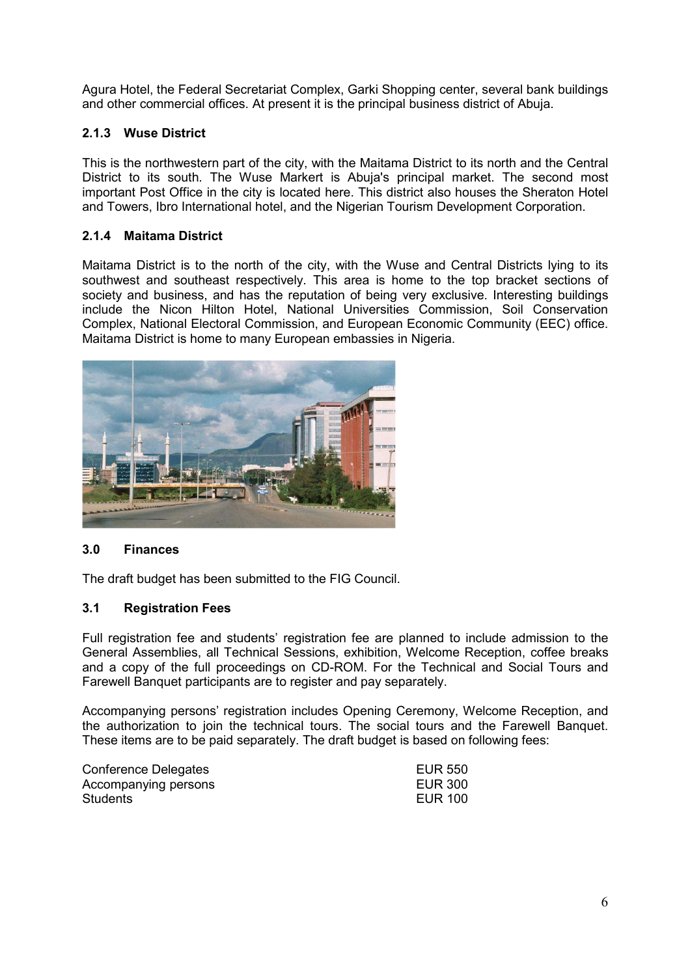Agura Hotel, the Federal Secretariat Complex, Garki Shopping center, several bank buildings and other commercial offices. At present it is the principal business district of Abuja.

# **2.1.3 Wuse District**

This is the northwestern part of the city, with the Maitama District to its north and the Central District to its south. The Wuse Markert is Abuja's principal market. The second most important Post Office in the city is located here. This district also houses the Sheraton Hotel and Towers, Ibro International hotel, and the Nigerian Tourism Development Corporation.

# **2.1.4 Maitama District**

Maitama District is to the north of the city, with the Wuse and Central Districts lying to its southwest and southeast respectively. This area is home to the top bracket sections of society and business, and has the reputation of being very exclusive. Interesting buildings include the Nicon Hilton Hotel, National Universities Commission, Soil Conservation Complex, National Electoral Commission, and European Economic Community (EEC) office. Maitama District is home to many European embassies in Nigeria.



# **3.0 Finances**

The draft budget has been submitted to the FIG Council.

# **3.1 Registration Fees**

Full registration fee and students' registration fee are planned to include admission to the General Assemblies, all Technical Sessions, exhibition, Welcome Reception, coffee breaks and a copy of the full proceedings on CD-ROM. For the Technical and Social Tours and Farewell Banquet participants are to register and pay separately.

Accompanying persons' registration includes Opening Ceremony, Welcome Reception, and the authorization to join the technical tours. The social tours and the Farewell Banquet. These items are to be paid separately. The draft budget is based on following fees:

| Conference Delegates | <b>EUR 550</b> |
|----------------------|----------------|
| Accompanying persons | EUR 300        |
| Students             | EUR 100        |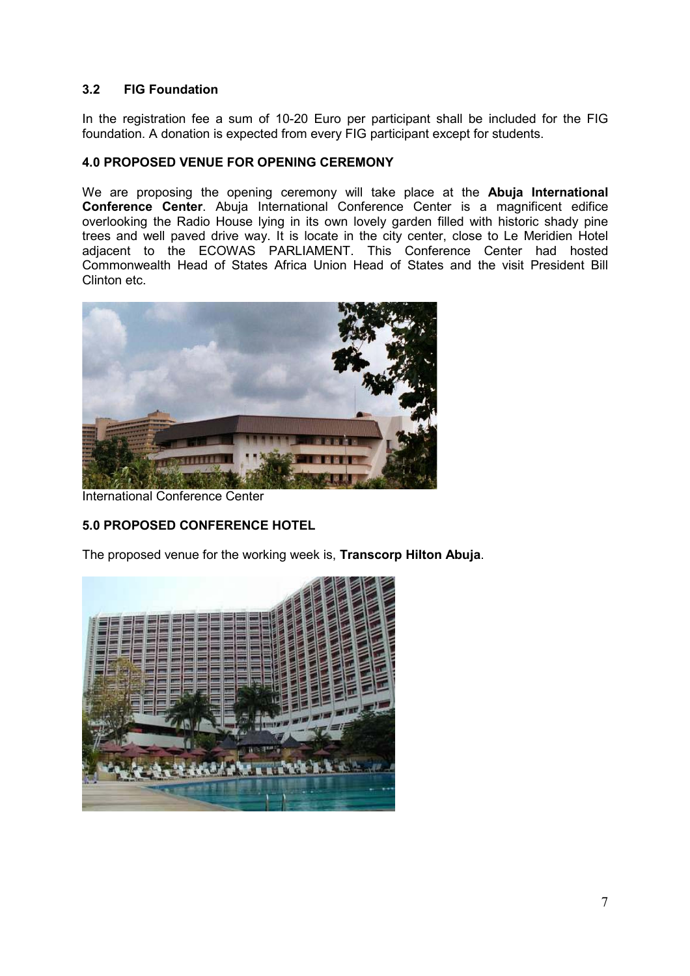# **3.2 FIG Foundation**

In the registration fee a sum of 10-20 Euro per participant shall be included for the FIG foundation. A donation is expected from every FIG participant except for students.

#### **4.0 PROPOSED VENUE FOR OPENING CEREMONY**

We are proposing the opening ceremony will take place at the **Abuja International Conference Center**. Abuja International Conference Center is a magnificent edifice overlooking the Radio House lying in its own lovely garden filled with historic shady pine trees and well paved drive way. It is locate in the city center, close to Le Meridien Hotel adjacent to the ECOWAS PARLIAMENT. This Conference Center had hosted Commonwealth Head of States Africa Union Head of States and the visit President Bill Clinton etc.



International Conference Center

# **5.0 PROPOSED CONFERENCE HOTEL**

The proposed venue for the working week is, **Transcorp Hilton Abuja**.

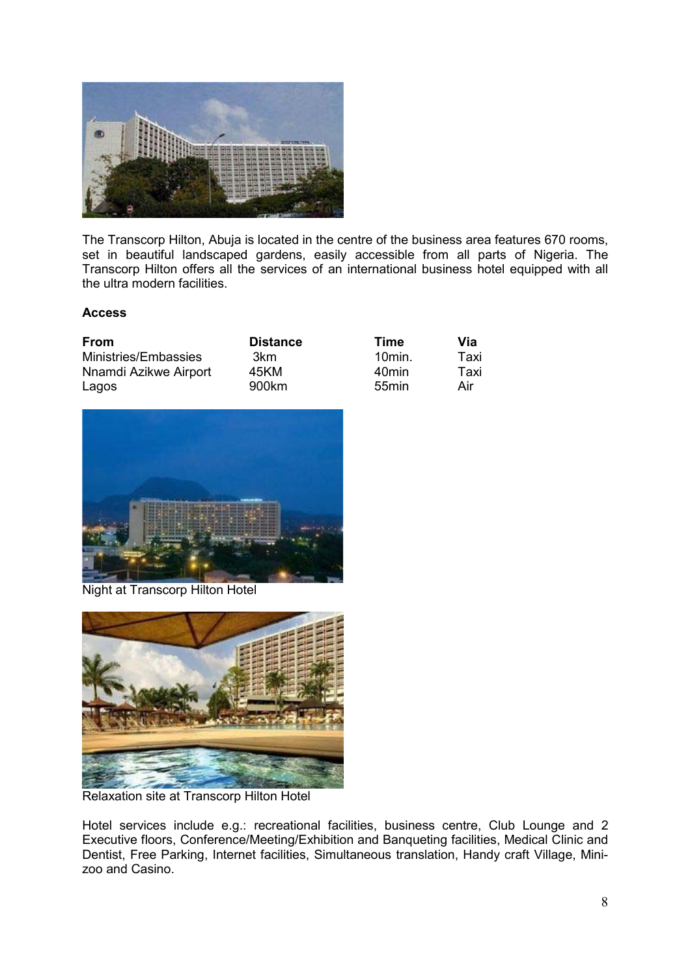

The Transcorp Hilton, Abuja is located in the centre of the business area features 670 rooms, set in beautiful landscaped gardens, easily accessible from all parts of Nigeria. The Transcorp Hilton offers all the services of an international business hotel equipped with all the ultra modern facilities.

#### **Access**

| From                  | <b>Distance</b> | Time              | Via  |
|-----------------------|-----------------|-------------------|------|
| Ministries/Embassies  | 3km             | 10min.            | Taxi |
| Nnamdi Azikwe Airport | 45KM            | 40min             | Taxi |
| Lagos                 | 900km           | 55 <sub>min</sub> | Air  |



Night at Transcorp Hilton Hotel



Relaxation site at Transcorp Hilton Hotel

Hotel services include e.g.: recreational facilities, business centre, Club Lounge and 2 Executive floors, Conference/Meeting/Exhibition and Banqueting facilities, Medical Clinic and Dentist, Free Parking, Internet facilities, Simultaneous translation, Handy craft Village, Minizoo and Casino.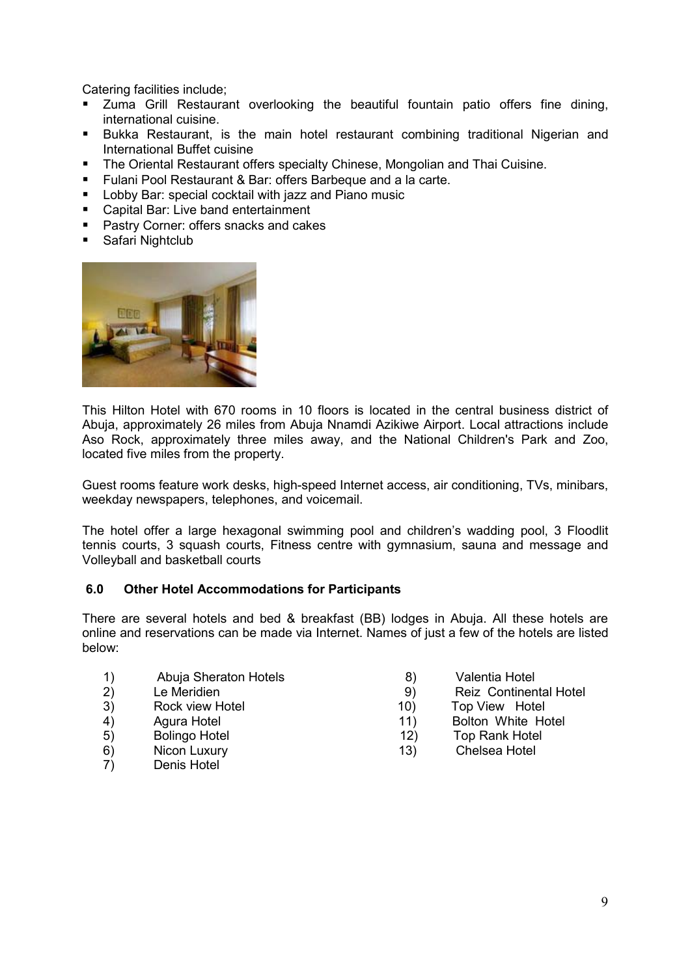Catering facilities include;

- Zuma Grill Restaurant overlooking the beautiful fountain patio offers fine dining, international cuisine.
- Bukka Restaurant, is the main hotel restaurant combining traditional Nigerian and International Buffet cuisine
- **The Oriental Restaurant offers specialty Chinese, Mongolian and Thai Cuisine.**
- **Fulani Pool Restaurant & Bar: offers Barbeque and a la carte.**
- **Lobby Bar: special cocktail with jazz and Piano music**
- Capital Bar: Live band entertainment
- **Pastry Corner: offers snacks and cakes**
- **Safari Nightclub**



This Hilton Hotel with 670 rooms in 10 floors is located in the central business district of Abuja, approximately 26 miles from Abuja Nnamdi Azikiwe Airport. Local attractions include Aso Rock, approximately three miles away, and the National Children's Park and Zoo, located five miles from the property.

Guest rooms feature work desks, high-speed Internet access, air conditioning, TVs, minibars, weekday newspapers, telephones, and voicemail.

The hotel offer a large hexagonal swimming pool and children's wadding pool, 3 Floodlit tennis courts, 3 squash courts, Fitness centre with gymnasium, sauna and message and Volleyball and basketball courts

#### **6.0 Other Hotel Accommodations for Participants**

There are several hotels and bed & breakfast (BB) lodges in Abuja. All these hotels are online and reservations can be made via Internet. Names of just a few of the hotels are listed below:

- 1) Abuja Sheraton Hotels (and the Sean of School valentia Hotel 2) Abuja Sheraton Hotels<br>
1 (and the Meridien 19) Reiz Continen
- 
- 
- 
- 
- 
- 7) Denis Hotel
- 
- 2) Le Meridien **19** Le Meridien **19** Le Meridien **19** 29 Reiz Continental Hotel
- 3) Rock view Hotel **10**) Top View Hotel
- 4) Agura Hotel **11 Agura Hotel** 11 **Bolton White Hotel**
- 5) Bolingo Hotel 12) Top Rank Hotel
- 6) Nicon Luxury 13) Chelsea Hotel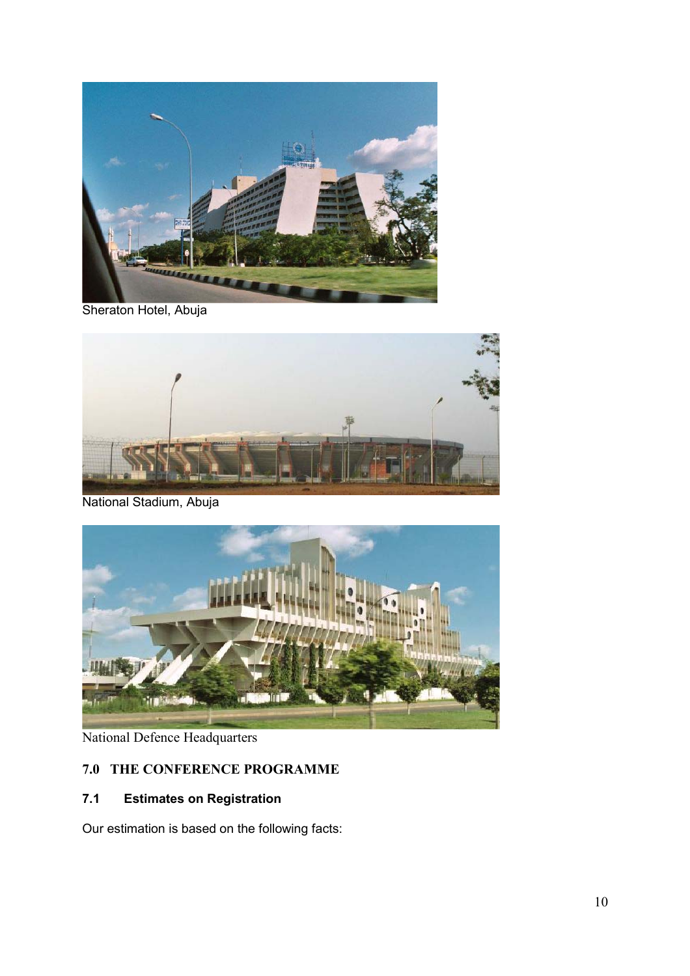

Sheraton Hotel, Abuja



National Stadium, Abuja



National Defence Headquarters

# **7.0 THE CONFERENCE PROGRAMME**

# **7.1 Estimates on Registration**

Our estimation is based on the following facts: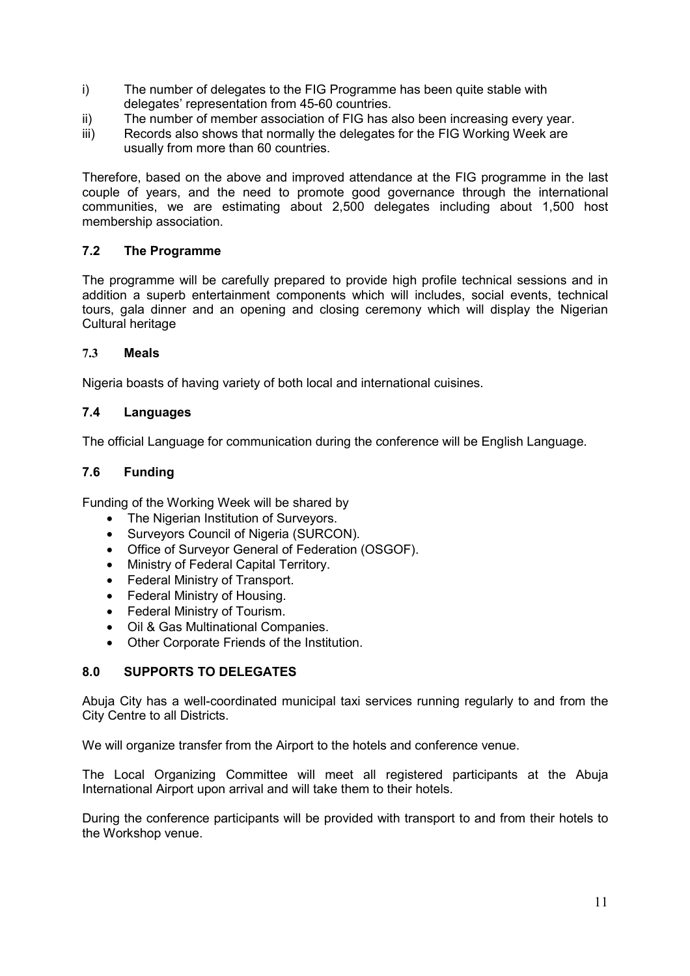- i) The number of delegates to the FIG Programme has been quite stable with delegates' representation from 45-60 countries.
- ii) The number of member association of FIG has also been increasing every year.
- iii) Records also shows that normally the delegates for the FIG Working Week are usually from more than 60 countries.

Therefore, based on the above and improved attendance at the FIG programme in the last couple of years, and the need to promote good governance through the international communities, we are estimating about 2,500 delegates including about 1,500 host membership association.

#### **7.2 The Programme**

The programme will be carefully prepared to provide high profile technical sessions and in addition a superb entertainment components which will includes, social events, technical tours, gala dinner and an opening and closing ceremony which will display the Nigerian Cultural heritage

#### **7.3 Meals**

Nigeria boasts of having variety of both local and international cuisines.

#### **7.4 Languages**

The official Language for communication during the conference will be English Language.

# **7.6 Funding**

Funding of the Working Week will be shared by

- The Nigerian Institution of Surveyors.
- Surveyors Council of Nigeria (SURCON).
- Office of Surveyor General of Federation (OSGOF).
- Ministry of Federal Capital Territory.
- Federal Ministry of Transport.
- Federal Ministry of Housing.
- Federal Ministry of Tourism.
- Oil & Gas Multinational Companies.
- Other Corporate Friends of the Institution.

#### **8.0 SUPPORTS TO DELEGATES**

Abuja City has a well-coordinated municipal taxi services running regularly to and from the City Centre to all Districts.

We will organize transfer from the Airport to the hotels and conference venue.

The Local Organizing Committee will meet all registered participants at the Abuja International Airport upon arrival and will take them to their hotels.

During the conference participants will be provided with transport to and from their hotels to the Workshop venue.